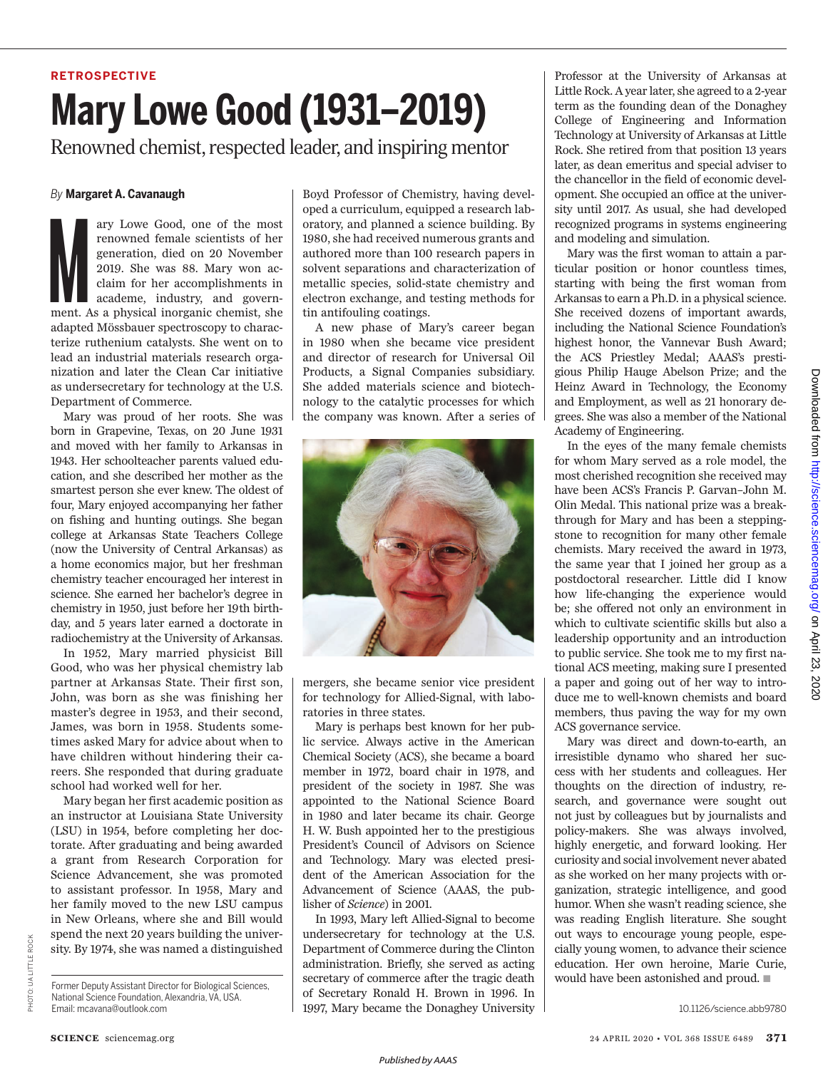## **RETROSPECTIVE**

## **Mary Lowe Good (1931–2019)**

Renowned chemist, respected leader, and inspiring mentor

## *By* **Margaret A. Cavanaugh**

ary Lowe Good, one of the most<br>renowned female scientists of her<br>generation, died on 20 November<br>2019. She was 88. Mary won ac-<br>claim for her accomplishments in<br>academe, industry, and govern-<br>ment. As a physical inorganic ary Lowe Good, one of the most renowned female scientists of her generation, died on 20 November 2019. She was 88. Mary won acclaim for her accomplishments in academe, industry, and governadapted Mössbauer spectroscopy to characterize ruthenium catalysts. She went on to lead an industrial materials research organization and later the Clean Car initiative as undersecretary for technology at the U.S. Department of Commerce.

Mary was proud of her roots. She was born in Grapevine, Texas, on 20 June 1931 and moved with her family to Arkansas in 1943. Her schoolteacher parents valued education, and she described her mother as the smartest person she ever knew. The oldest of four, Mary enjoyed accompanying her father on fishing and hunting outings. She began college at Arkansas State Teachers College (now the University of Central Arkansas) as a home economics major, but her freshman chemistry teacher encouraged her interest in science. She earned her bachelor's degree in chemistry in 1950, just before her 19th birthday, and 5 years later earned a doctorate in radiochemistry at the University of Arkansas.

In 1952, Mary married physicist Bill Good, who was her physical chemistry lab partner at Arkansas State. Their first son, John, was born as she was finishing her master's degree in 1953, and their second, James, was born in 1958. Students sometimes asked Mary for advice about when to have children without hindering their careers. She responded that during graduate school had worked well for her.

Mary began her first academic position as an instructor at Louisiana State University (LSU) in 1954, before completing her doctorate. After graduating and being awarded a grant from Research Corporation for Science Advancement, she was promoted to assistant professor. In 1958, Mary and her family moved to the new LSU campus in New Orleans, where she and Bill would spend the next 20 years building the university. By 1974, she was named a distinguished Boyd Professor of Chemistry, having developed a curriculum, equipped a research laboratory, and planned a science building. By 1980, she had received numerous grants and authored more than 100 research papers in solvent separations and characterization of metallic species, solid-state chemistry and electron exchange, and testing methods for tin antifouling coatings.

A new phase of Mary's career began in 1980 when she became vice president and director of research for Universal Oil Products, a Signal Companies subsidiary. She added materials science and biotechnology to the catalytic processes for which the company was known. After a series of



mergers, she became senior vice president for technology for Allied-Signal, with laboratories in three states.

Mary is perhaps best known for her public service. Always active in the American Chemical Society (ACS), she became a board member in 1972, board chair in 1978, and president of the society in 1987. She was appointed to the National Science Board in 1980 and later became its chair. George H. W. Bush appointed her to the prestigious President's Council of Advisors on Science and Technology. Mary was elected president of the American Association for the Advancement of Science (AAAS, the publisher of *Science*) in 2001.

In 1993, Mary left Allied-Signal to become undersecretary for technology at the U.S. Department of Commerce during the Clinton administration. Briefly, she served as acting secretary of commerce after the tragic death of Secretary Ronald H. Brown in 1996. In 1997, Mary became the Donaghey University

Professor at the University of Arkansas at Little Rock. A year later, she agreed to a 2-year term as the founding dean of the Donaghey College of Engineering and Information Technology at University of Arkansas at Little Rock. She retired from that position 13 years later, as dean emeritus and special adviser to the chancellor in the field of economic development. She occupied an office at the university until 2017. As usual, she had developed recognized programs in systems engineering and modeling and simulation.

Mary was the first woman to attain a particular position or honor countless times, starting with being the first woman from Arkansas to earn a Ph.D. in a physical science. She received dozens of important awards, including the National Science Foundation's highest honor, the Vannevar Bush Award; the ACS Priestley Medal; AAAS's prestigious Philip Hauge Abelson Prize; and the Heinz Award in Technology, the Economy and Employment, as well as 21 honorary degrees. She was also a member of the National Academy of Engineering.

In the eyes of the many female chemists for whom Mary served as a role model, the most cherished recognition she received may have been ACS's Francis P. Garvan–John M. Olin Medal. This national prize was a breakthrough for Mary and has been a steppingstone to recognition for many other female chemists. Mary received the award in 1973, the same year that I joined her group as a postdoctoral researcher. Little did I know how life-changing the experience would be; she offered not only an environment in which to cultivate scientific skills but also a leadership opportunity and an introduction to public service. She took me to my first national ACS meeting, making sure I presented a paper and going out of her way to introduce me to well-known chemists and board members, thus paving the way for my own ACS governance service.

Mary was direct and down-to-earth, an irresistible dynamo who shared her success with her students and colleagues. Her thoughts on the direction of industry, research, and governance were sought out not just by colleagues but by journalists and policy-makers. She was always involved, highly energetic, and forward looking. Her curiosity and social involvement never abated as she worked on her many projects with organization, strategic intelligence, and good humor. When she wasn't reading science, she was reading English literature. She sought out ways to encourage young people, especially young women, to advance their science education. Her own heroine, Marie Curie, would have been astonished and proud.  $\blacksquare$ 

PHOTO:

OTO: UA LITTLE ROCK

**UALITTLE ROCK** 

Former Deputy Assistant Director for Biological Sciences, National Science Foundation, Alexandria, VA, USA. Email: mcavana@outlook.com